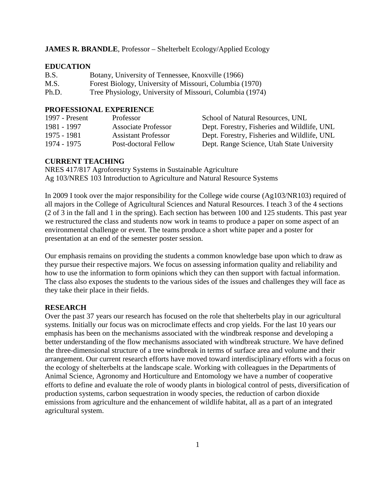# **JAMES R. BRANDLE**, Professor – Shelterbelt Ecology/Applied Ecology

## **EDUCATION**

| B.S.  | Botany, University of Tennessee, Knoxville (1966)        |
|-------|----------------------------------------------------------|
| M.S.  | Forest Biology, University of Missouri, Columbia (1970)  |
| Ph.D. | Tree Physiology, University of Missouri, Columbia (1974) |

# **PROFESSIONAL EXPERIENCE**

| 1997 - Present | Professor                  | School of Natural Resources, UNL            |
|----------------|----------------------------|---------------------------------------------|
| 1981 - 1997    | <b>Associate Professor</b> | Dept. Forestry, Fisheries and Wildlife, UNL |
| 1975 - 1981    | <b>Assistant Professor</b> | Dept. Forestry, Fisheries and Wildlife, UNL |
| 1974 - 1975    | Post-doctoral Fellow       | Dept. Range Science, Utah State University  |

# **CURRENT TEACHING**

NRES 417/817 Agroforestry Systems in Sustainable Agriculture Ag 103/NRES 103 Introduction to Agriculture and Natural Resource Systems

In 2009 I took over the major responsibility for the College wide course (Ag103/NR103) required of all majors in the College of Agricultural Sciences and Natural Resources. I teach 3 of the 4 sections (2 of 3 in the fall and 1 in the spring). Each section has between 100 and 125 students. This past year we restructured the class and students now work in teams to produce a paper on some aspect of an environmental challenge or event. The teams produce a short white paper and a poster for presentation at an end of the semester poster session.

Our emphasis remains on providing the students a common knowledge base upon which to draw as they pursue their respective majors. We focus on assessing information quality and reliability and how to use the information to form opinions which they can then support with factual information. The class also exposes the students to the various sides of the issues and challenges they will face as they take their place in their fields.

### **RESEARCH**

Over the past 37 years our research has focused on the role that shelterbelts play in our agricultural systems. Initially our focus was on microclimate effects and crop yields. For the last 10 years our emphasis has been on the mechanisms associated with the windbreak response and developing a better understanding of the flow mechanisms associated with windbreak structure. We have defined the three-dimensional structure of a tree windbreak in terms of surface area and volume and their arrangement. Our current research efforts have moved toward interdisciplinary efforts with a focus on the ecology of shelterbelts at the landscape scale. Working with colleagues in the Departments of Animal Science, Agronomy and Horticulture and Entomology we have a number of cooperative efforts to define and evaluate the role of woody plants in biological control of pests, diversification of production systems, carbon sequestration in woody species, the reduction of carbon dioxide emissions from agriculture and the enhancement of wildlife habitat, all as a part of an integrated agricultural system.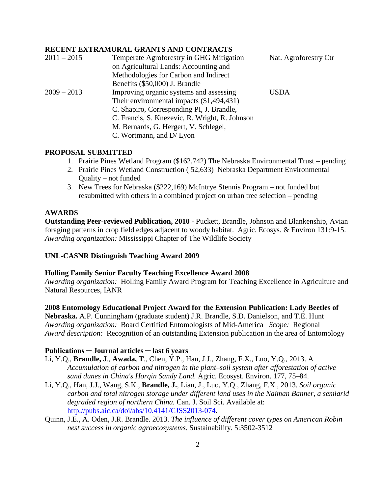#### **RECENT EXTRAMURAL GRANTS AND CONTRACTS**

| $2011 - 2015$ | Temperate Agroforestry in GHG Mitigation       | Nat. Agroforestry Ctr |
|---------------|------------------------------------------------|-----------------------|
|               | on Agricultural Lands: Accounting and          |                       |
|               | Methodologies for Carbon and Indirect          |                       |
|               | Benefits (\$50,000) J. Brandle                 |                       |
| $2009 - 2013$ | Improving organic systems and assessing        | <b>USDA</b>           |
|               | Their environmental impacts (\$1,494,431)      |                       |
|               | C. Shapiro, Corresponding PI, J. Brandle,      |                       |
|               | C. Francis, S. Knezevic, R. Wright, R. Johnson |                       |
|               | M. Bernards, G. Hergert, V. Schlegel,          |                       |
|               | C. Wortmann, and D/ Lyon                       |                       |

## **PROPOSAL SUBMITTED**

- 1. Prairie Pines Wetland Program (\$162,742) The Nebraska Environmental Trust pending
- 2. Prairie Pines Wetland Construction ( 52,633) Nebraska Department Environmental Quality – not funded
- 3. New Trees for Nebraska (\$222,169) McIntrye Stennis Program not funded but resubmitted with others in a combined project on urban tree selection – pending

### **AWARDS**

**Outstanding Peer-reviewed Publication, 2010** - Puckett, Brandle, Johnson and Blankenship, Avian foraging patterns in crop field edges adjacent to woody habitat. Agric. Ecosys. & Environ 131:9-15. *Awarding organization:* Mississippi Chapter of The Wildlife Society

#### **UNL-CASNR Distinguish Teaching Award 2009**

#### **Holling Family Senior Faculty Teaching Excellence Award 2008**

*Awarding organization:* Holling Family Award Program for Teaching Excellence in Agriculture and Natural Resources, IANR

#### **2008 Entomology Educational Project Award for the Extension Publication: Lady Beetles of**

**Nebraska.** A.P. Cunningham (graduate student) J.R. Brandle, S.D. Danielson, and T.E. Hunt *Awarding organization:* Board Certified Entomologists of Mid-America *Scope:* Regional *Award description:* Recognition of an outstanding Extension publication in the area of Entomology

### **Publications ─ Journal articles ─ last 6 years**

- Li, Y.Q., **Brandle, J**., **Awada, T**., Chen, Y.P., Han, J.J., Zhang, F.X., Luo, Y.Q., 2013. A *Accumulation of carbon and nitrogen in the plant–soil system after afforestation of active sand dunes in China's Horqin Sandy Land.* Agric. Ecosyst. Environ. 177, 75–84.
- Li, Y.Q., Han, J.J., Wang, S.K., **Brandle, J.**, Lian, J., Luo, Y.Q., Zhang, F.X., 2013. *Soil organic carbon and total nitrogen storage under different land uses in the Naiman Banner, a semiarid degraded region of northern China.* Can. J. Soil Sci. Available at: [http://pubs.aic.ca/doi/abs/10.4141/CJSS2013-074.](http://pubs.aic.ca/doi/abs/10.4141/CJSS2013-074)
- Quinn, J.E., A. Oden, J.R. Brandle. 2013. *The influence of different cover types on American Robin nest success in organic agroecosystems.* Sustainability. 5:3502-3512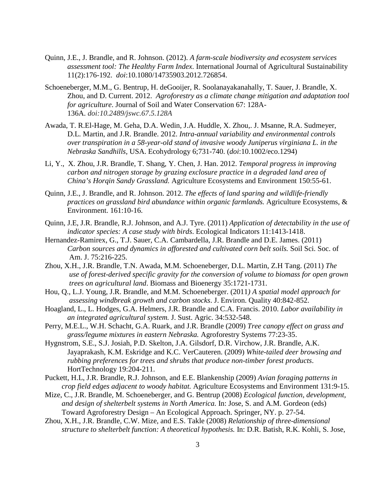- Quinn, J.E., J. Brandle, and R. Johnson. (2012). *A farm-scale biodiversity and ecosystem services assessment tool: The Healthy Farm Index*. International Journal of Agricultural Sustainability 11(2):176-192. *doi*:10.1080/14735903.2012.726854.
- Schoeneberger, M.M., G. Bentrup, H. deGooijer, R. Soolanayakanahally, T. Sauer, J. Brandle, X. Zhou, and D. Current. 2012. *Agroforestry as a climate change mitigation and adaptation tool for agriculture*. Journal of Soil and Water Conservation 67: 128A-136A. *doi:10.2489/jswc.67.5.128A*
- Awada, T. R.El-Hage, M. Geha, D.A. Wedin, J.A. Huddle, X. Zhou,. J. Msanne, R.A. Sudmeyer, D.L. Martin, and J.R. Brandle. 2012. *Intra-annual variability and environmental controls over transpiration in a 58-year-old stand of invasive woody Juniperus virginiana L. in the Nebraska Sandhills,* USA. Ecohydrology 6;731-740. (*doi*:10.1002/eco.1294)
- Li, Y., X. Zhou, J.R. Brandle, T. Shang, Y. Chen, J. Han. 2012. *Temporal progress in improving carbon and nitrogen storage by grazing exclosure practice in a degraded land area of China's Horqin Sandy Grassland.* Agriculture Ecosystems and Environment 150:55-61.
- Quinn, J.E., J. Brandle, and R. Johnson. 2012. *The effects of land sparing and wildlife-friendly practices on grassland bird abundance within organic farmlands.* Agriculture Ecosystems, & Environment. 161:10-16.
- Quinn, J.E, J.R. Brandle, R.J. Johnson, and A.J. Tyre. (2011) *Application of detectability in the use of indicator species: A case study with birds*. Ecological Indicators 11:1413-1418.
- Hernandez-Ramirex, G., T.J. Sauer, C.A. Cambardella, J.R. Brandle and D.E. James. (2011) *Carbon sources and dynamics in afforested and cultivated corn belt soils.* Soil Sci. Soc. of Am. J. 75:216-225.
- Zhou, X.H., J.R. Brandle, T.N. Awada, M.M. Schoeneberger, D.L. Martin, Z.H Tang. (2011) *The use of forest-derived specific gravity for the conversion of volume to biomass for open grown trees on agricultural land*. Biomass and Bioenergy 35:1721-1731.
- Hou, Q., L.J. Young, J.R. Brandle, and M.M. Schoeneberger. (2011*) A spatial model approach for assessing windbreak growth and carbon stocks*. J. Environ. Quality 40:842-852.
- Hoagland, L., L. Hodges, G.A. Helmers, J.R. Brandle and C.A. Francis. 2010. *Labor availability in an integrated agricultural system.* J. Sust. Agric. 34:532-548.
- Perry, M.E.L., W.H. Schacht, G.A. Ruark, and J.R. Brandle (2009) *Tree canopy effect on grass and grass/legume mixtures in eastern Nebraska.* Agroforestry Systems 77:23-35.
- Hygnstrom, S.E., S.J. Josiah, P.D. Skelton, J.A. Gilsdorf, D.R. Virchow, J.R. Brandle, A.K. Jayaprakash, K.M. Eskridge and K.C. VerCauteren. (2009) *White-tailed deer browsing and rubbing preferences for trees and shrubs that produce non-timber forest products*. HortTechnology 19:204-211.
- Puckett, H.L, J.R. Brandle, R.J. Johnson, and E.E. Blankenship (2009) *Avian foraging patterns in crop field edges adjacent to woody habitat.* Agriculture Ecosystems and Environment 131:9-15.
- Mize, C., J.R. Brandle, M. Schoeneberger, and G. Bentrup (2008) *Ecological function, development, and design of shelterbelt systems in North America.* In: Jose, S. and A.M. Gordeon (eds) Toward Agroforestry Design – An Ecological Approach. Springer, NY. p. 27-54.
- Zhou, X.H., J.R. Brandle, C.W. Mize, and E.S. Takle (2008) *Relationship of three-dimensional structure to shelterbelt function: A theoretical hypothesis.* In: D.R. Batish, R.K. Kohli, S. Jose,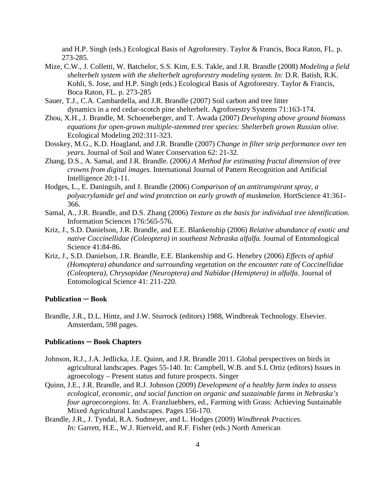and H.P. Singh (eds.) Ecological Basis of Agroforestry. Taylor & Francis, Boca Raton, FL. p. 273-285.

- Mize, C.W., J. Colletti, W. Batchelor, S.S. Kim, E.S. Takle, and J.R. Brandle (2008) *Modeling a field shelterbelt system with the shelterbelt agroforestry modeling system. In:* D.R. Batish, R.K. Kohli, S. Jose, and H.P. Singh (eds.) Ecological Basis of Agroforestry. Taylor & Francis, Boca Raton, FL. p. 273-285
- Sauer, T.J., C.A. Cambardella, and J.R. Brandle (2007) Soil carbon and tree litter dynamics in a red cedar-scotch pine shelterbelt. Agroforestry Systems 71:163-174.
- Zhou, X.H., J. Brandle, M. Schoeneberger, and T. Awada (2007) *Developing above ground biomass equations for open-grown multiple-stemmed tree species: Shelterbelt grown Russian olive.* Ecological Modeling 202:311-323.
- Dosskey, M.G., K.D. Hoagland, and J.R. Brandle (2007) *Change in filter strip performance over ten years.* Journal of Soil and Water Conservation 62: 21-32.
- Zhang, D.S., A. Samal, and J.R. Brandle. (2006*) A Method for estimating fractal dimension of tree crowns from digital images.* International Journal of Pattern Recognition and Artificial Intelligence 20:1-11.
- Hodges, L., E. Daningsih, and J. Brandle (2006) *Comparison of an antitranspirant spray, a polyacrylamide gel and wind protection on early growth of muskmelon.* HortScience 41:361- 366.
- Samal, A., J.R. Brandle, and D.S. Zhang (2006) *Texture as the basis for individual tree identification*. Information Sciences 176:565-576.
- Kriz, J., S.D. Danielson, J.R. Brandle, and E.E. Blankenship (2006) *Relative abundance of exotic and native Coccinellidae (Coleoptera) in southeast Nebraska alfalfa.* Journal of Entomological Science 41:84-86.
- Kriz, J., S.D. Danielson, J.R. Brandle, E.E. Blankenship and G. Henebry (2006) *Effects of aphid (Homoptera) abundance and surrounding vegetation on the encounter rate of Coccinellidae (Coleoptera), Chrysopidae (Neuroptera) and Nabidae (Hemiptera) in alfalfa.* Journal of Entomological Science 41: 211-220.

### **Publication ─ Book**

Brandle, J.R., D.L. Hintz, and J.W. Sturrock (editors) 1988, Windbreak Technology. Elsevier. Amsterdam, 598 pages.

#### **Publications ─ Book Chapters**

- Johnson, R.J., J.A. Jedlicka, J.E. Quinn, and J.R. Brandle 2011. Global perspectives on birds in agricultural landscapes. Pages 55-140. In: Campbell, W.B. and S.L Ortiz (editors) Issues in agroecology – Present status and future prospects. Singer
- Quinn, J.E., J.R. Brandle, and R.J. Johnson (2009) *Development of a healthy farm index to assess ecological, economic, and social function on organic and sustainable farms in Nebraska's four agroecoregions.* In: A. Franzluebbers, ed., Farming with Grass: Achieving Sustainable Mixed Agricultural Landscapes. Pages 156-170.
- Brandle, J.R., J. Tyndal, R.A. Sudmeyer, and L. Hodges (2009) *Windbreak Practices*. *In:* Garrett, H.E., W.J. Rietveld, and R.F. Fisher (eds.) North American